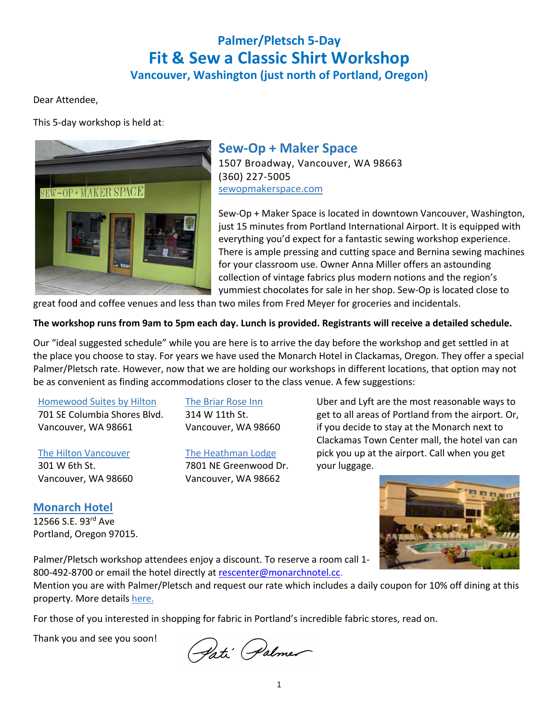# **Palmer/Pletsch 5-Day Fit & Sew a Classic Shirt Workshop**

**Vancouver, Washington (just north of Portland, Oregon)**

Dear Attendee,

This 5-day workshop is held at:



# **Sew-Op + Maker Space**

1507 Broadway, Vancouver, WA 98663 (360) 227-5005 sewopmakerspace.com

Sew-Op + Maker Space is located in downtown Vancouver, Washington, just 15 minutes from Portland International Airport. It is equipped with everything you'd expect for a fantastic sewing workshop experience. There is ample pressing and cutting space and Bernina sewing machines for your classroom use. Owner Anna Miller offers an astounding collection of vintage fabrics plus modern notions and the region's yummiest chocolates for sale in her shop. Sew-Op is located close to

great food and coffee venues and less than two miles from Fred Meyer for groceries and incidentals.

### **The workshop runs from 9am to 5pm each day. Lunch is provided. Registrants will receive a detailed schedule.**

Our "ideal suggested schedule" while you are here is to arrive the day before the workshop and get settled in at the place you choose to stay. For years we have used the Monarch Hotel in Clackamas, Oregon. They offer a special Palmer/Pletsch rate. However, now that we are holding our workshops in different locations, that option may not be as convenient as finding accommodations closer to the class venue. A few suggestions:

#### Homewood Suites by Hilton

701 SE Columbia Shores Blvd. Vancouver, WA 98661

### The Hilton Vancouver

301 W 6th St. Vancouver, WA 98660

## **Monarch Hotel**

12566 S.E. 93rd Ave Portland, Oregon 97015. The Briar Rose Inn 314 W 11th St. Vancouver, WA 98660

### The Heathman Lodge

7801 NE Greenwood Dr. Vancouver, WA 98662

Uber and Lyft are the most reasonable ways to get to all areas of Portland from the airport. Or, if you decide to stay at the Monarch next to Clackamas Town Center mall, the hotel van can pick you up at the airport. Call when you get your luggage.



Palmer/Pletsch workshop attendees enjoy a discount. To reserve a room call 1- 800-492-8700 or email the hotel directly at rescenter@monarchnotel.cc.

Mention you are with Palmer/Pletsch and request our rate which includes a daily coupon for 10% off dining at this property. More details here.

For those of you interested in shopping for fabric in Portland's incredible fabric stores, read on.

Thank you and see you soon!

Gati Palmer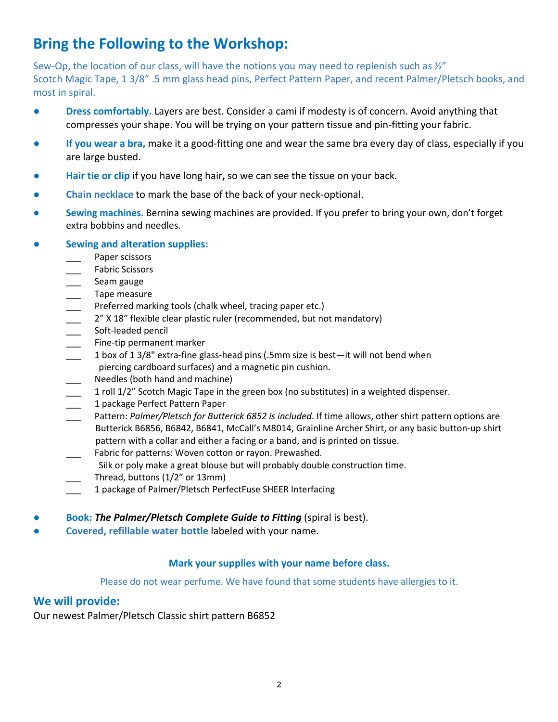# **Bring the Following to the Workshop:**

Sew-Op, the location of our class, will have the notions you may need to replenish such as  $\frac{1}{2}$ " Scotch Magic Tape, 1 3/8" .5 mm glass head pins, Perfect Pattern Paper, and recent Palmer/Pletsch books, and most in spiral.

- **Dress comfortably.** Layers are best. Consider a cami if modesty is of concern. Avoid anything that compresses your shape. You will be trying on your pattern tissue and pin-fitting your fabric.
- **If you wear a bra,** make it a good-fitting one and wear the same bra every day of class, especially if you are large busted.
- **Hair tie or clip if you have long hair, so we can see the tissue on your back.**
- **Chain necklace** to mark the base of the back of your neck-optional.
- **Sewing machines.** Bernina sewing machines are provided. If you prefer to bring your own, don't forget extra bobbins and needles.

### **● Sewing and alteration supplies:**

- Paper scissors
- \_\_\_ Fabric Scissors
- Seam gauge
- \_\_\_ Tape measure
- Preferred marking tools (chalk wheel, tracing paper etc.)
- 2" X 18" flexible clear plastic ruler (recommended, but not mandatory)
- \_\_\_\_\_ Soft-leaded pencil
- Fine-tip permanent marker
- $\frac{1}{2}$  1 box of 1 3/8" extra-fine glass-head pins (.5mm size is best—it will not bend when
- piercing cardboard surfaces) and a magnetic pin cushion.
- Needles (both hand and machine)
- 1 roll 1/2" Scotch Magic Tape in the green box (no substitutes) in a weighted dispenser.
- \_\_\_ 1 package Perfect Pattern Paper
- \_\_\_ Pattern: *Palmer/Pletsch for Butterick 6852 is included*. If time allows, other shirt pattern options are Butterick B6856, B6842, B6841, McCall's M8014, Grainline Archer Shirt, or any basic button-up shirt pattern with a collar and either a facing or a band, and is printed on tissue.
- Fabric for patterns: Woven cotton or rayon. Prewashed.
- Silk or poly make a great blouse but will probably double construction time.
- Thread, buttons (1/2" or 13mm)
- 1 package of Palmer/Pletsch PerfectFuse SHEER Interfacing
- **Book: The Palmer/Pletsch Complete Guide to Fitting** (spiral is best).
- **Covered, refillable water bottle** labeled with your name.

### **Mark your supplies with your name before class.**

### Please do not wear perfume. We have found that some students have allergies to it.

### **We will provide:**

Our newest Palmer/Pletsch Classic shirt pattern B6852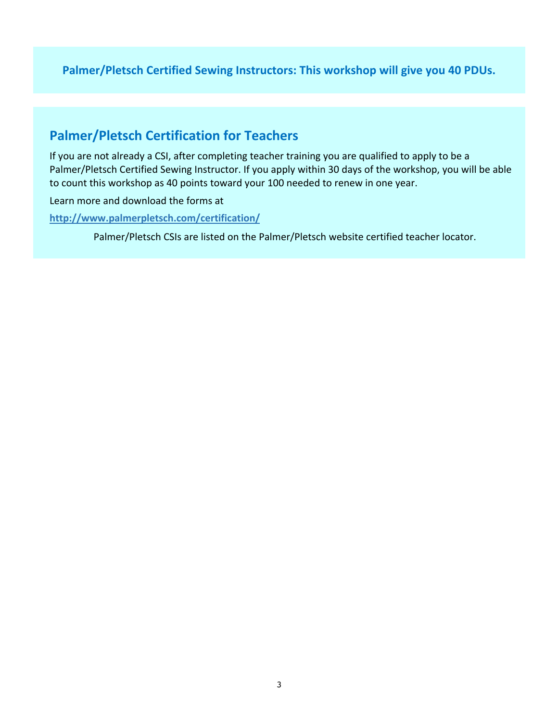**Palmer/Pletsch Certified Sewing Instructors: This workshop will give you 40 PDUs.**

# **Palmer/Pletsch Certification for Teachers**

If you are not already a CSI, after completing teacher training you are qualified to apply to be a Palmer/Pletsch Certified Sewing Instructor. If you apply within 30 days of the workshop, you will be able to count this workshop as 40 points toward your 100 needed to renew in one year.

Learn more and download the forms at

**http://www.palmerpletsch.com/certification/**

Palmer/Pletsch CSIs are listed on the Palmer/Pletsch website certified teacher locator.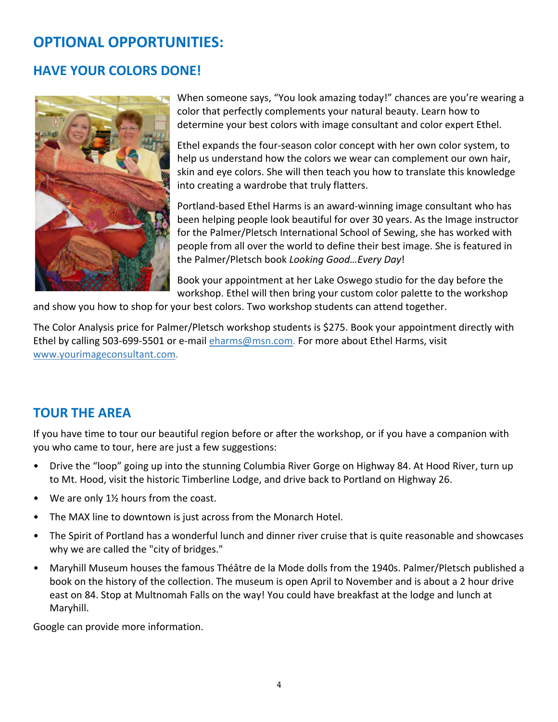# **OPTIONAL OPPORTUNITIES:**

# **HAVE YOUR COLORS DONE!**



When someone says, "You look amazing today!" chances are you're wearing a color that perfectly complements your natural beauty. Learn how to determine your best colors with image consultant and color expert Ethel.

Ethel expands the four-season color concept with her own color system, to help us understand how the colors we wear can complement our own hair, skin and eye colors. She will then teach you how to translate this knowledge into creating a wardrobe that truly flatters.

Portland-based Ethel Harms is an award-winning image consultant who has been helping people look beautiful for over 30 years. As the Image instructor for the Palmer/Pletsch International School of Sewing, she has worked with people from all over the world to define their best image. She is featured in the Palmer/Pletsch book *Looking Good…Every Day*!

Book your appointment at her Lake Oswego studio for the day before the workshop. Ethel will then bring your custom color palette to the workshop

and show you how to shop for your best colors. Two workshop students can attend together.

The Color Analysis price for Palmer/Pletsch workshop students is \$275. Book your appointment directly with Ethel by calling 503-699-5501 or e-mail eharms@msn.com. For more about Ethel Harms, visit www.yourimageconsultant.com.

# **TOUR THE AREA**

If you have time to tour our beautiful region before or after the workshop, or if you have a companion with you who came to tour, here are just a few suggestions:

- Drive the "loop" going up into the stunning Columbia River Gorge on Highway 84. At Hood River, turn up to Mt. Hood, visit the historic Timberline Lodge, and drive back to Portland on Highway 26.
- We are only  $1\frac{1}{2}$  hours from the coast.
- The MAX line to downtown is just across from the Monarch Hotel.
- The Spirit of Portland has a wonderful lunch and dinner river cruise that is quite reasonable and showcases why we are called the "city of bridges."
- Maryhill Museum houses the famous Théâtre de la Mode dolls from the 1940s. Palmer/Pletsch published a book on the history of the collection. The museum is open April to November and is about a 2 hour drive east on 84. Stop at Multnomah Falls on the way! You could have breakfast at the lodge and lunch at Maryhill.

Google can provide more information.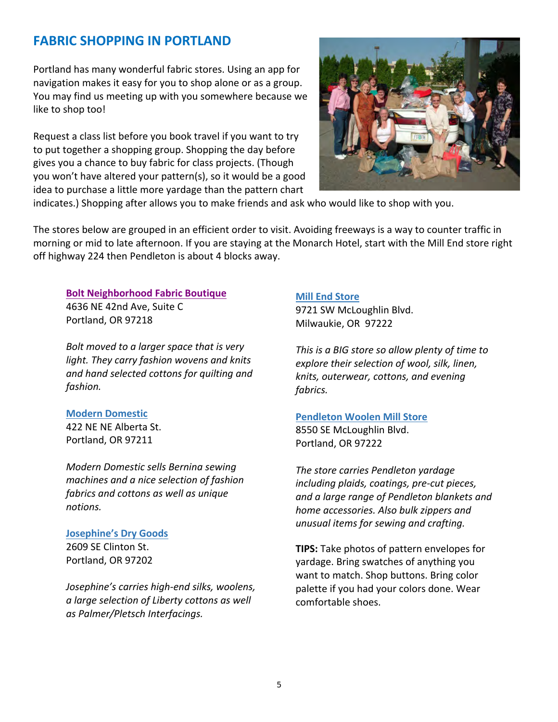# **FABRIC SHOPPING IN PORTLAND**

Portland has many wonderful fabric stores. Using an app for navigation makes it easy for you to shop alone or as a group. You may find us meeting up with you somewhere because we like to shop too!

Request a class list before you book travel if you want to try to put together a shopping group. Shopping the day before gives you a chance to buy fabric for class projects. (Though you won't have altered your pattern(s), so it would be a good idea to purchase a little more yardage than the pattern chart



indicates.) Shopping after allows you to make friends and ask who would like to shop with you.

The stores below are grouped in an efficient order to visit. Avoiding freeways is a way to counter traffic in morning or mid to late afternoon. If you are staying at the Monarch Hotel, start with the Mill End store right off highway 224 then Pendleton is about 4 blocks away.

#### **Bolt Neighborhood Fabric Boutique** 4636 NE 42nd Ave, Suite C

Portland, OR 97218

*Bolt moved to a larger space that is very light. They carry fashion wovens and knits and hand selected cottons for quilting and fashion.*

#### **Modern Domestic**

422 NE NE Alberta St. Portland, OR 97211

*Modern Domestic sells Bernina sewing machines and a nice selection of fashion fabrics and cottons as well as unique notions.* 

#### **Josephine's Dry Goods**

2609 SE Clinton St. Portland, OR 97202

*Josephine's carries high-end silks, woolens, a large selection of Liberty cottons as well as Palmer/Pletsch Interfacings.*

#### **Mill End Store**

9721 SW McLoughlin Blvd. Milwaukie, OR 97222

*This is a BIG store so allow plenty of time to explore their selection of wool, silk, linen, knits, outerwear, cottons, and evening fabrics.*

#### **Pendleton Woolen Mill Store**

8550 SE McLoughlin Blvd. Portland, OR 97222

*The store carries Pendleton yardage including plaids, coatings, pre-cut pieces, and a large range of Pendleton blankets and home accessories. Also bulk zippers and unusual items for sewing and crafting.*

**TIPS:** Take photos of pattern envelopes for yardage. Bring swatches of anything you want to match. Shop buttons. Bring color palette if you had your colors done. Wear comfortable shoes.